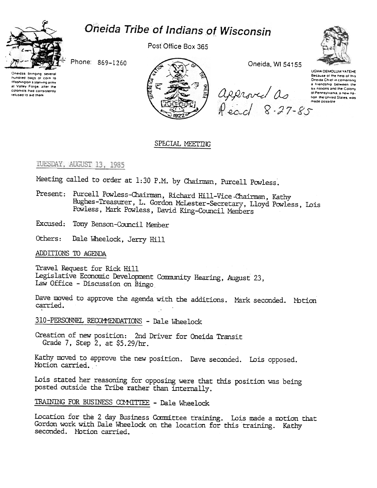



Post Office Box 365



Phone: 869-1260

Oneidas bringing several hundred bags of corn to Washington's starving army at Valley Forge, after the colonists had consistently refused to aid them



Oneida, WI 54155

UGWA DEMOLUM YATEHE Because of the help of this<br>Oneida Chief in cementing a friendship between the approved as : six nations and the Colony ol Pennsylvania, a new nation the United States, was

### SPECIAL MEETING

### TUESDAY, AUGUST 13, 1985

Meeting called to order at 1:30 P.M. by Chairman, Purcell Powless.

Present: Purcell Powless-Chairman, Richard Hill-Vice-Chairman, Kathy Hughes-Treasurer, L. Gordon McLester-Secretary, Lloyd Powless, Lois Powless, Mark Powless, David King-Council Members

Excused: Tony Benson-Council Member

Others: Dale Wheelock, Jerry Hill

ADDITIONS TO AGENDA

Travel Request for Rick Hill Legislative Economic Development Community Hearing, August 23, Law Office - Discussion on Bingo

Dave moved to approve the agenda with the additions. Mark seconded. Motion carried.

310-PERSONNEL RECOMMENDATIONS - Dale Wheelock

Creation of new position: 2nd Driver for Oneida Transit Grade 7, Step 2, at \$5.29/hr.

Kathy moved to approve the new position. Dave seconded. Lois opposed. Motion carried.

Lois stated her reasoning for opposing were that this position was being posted outside the Tribe rather than internally.

TRAINING FOR BUSINESS COMMITTEE - Dale Wheelock

Location for the 2 day Business Committee training. Lois made a motion that Gordon work with Dale Wheelock on the location for this training. Kathy seconded. Notion carried.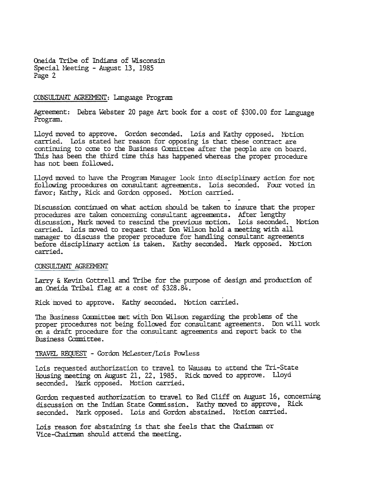Cneida Tribe of Indians of Wisconsin Special Meeting - August 13, 1985 Page 2

### CONSULTANT AGREEMENT: Language Program

Agreement: Debra Webster 20 page Art book for a cost of \$300.00 for Language Program.

Lloyd moved to approve. Gordon seconded. Lois and Kathy opposed. Motion carried. Lois stated her reason for opposing is that these contract are continuing to come to the Business Committee after the people are on board. This has been the third time this has happened whereas the proper procedure has not been followed.

Lloyd moved to have the Program Manager look into disciplinary action for not following procedures on consultant agreements. Lois seconded. Four voted in favor; Kathy, Rick and Gordon opposed. Motion carried.

Discussion continued on what action should be. taken to insure that the proper procedures are taken concerning consultant agreements. After lengthy discussion, Mark moved to rescind the previous motion. Lois seconded. Notion carried. Lois moved to request that Don Wilson hold a meeting with all manager to discuss the proper procedure for handling consultant agreements before disciplinary action is taken. Kathy seconded. Mark opposed. Motion carried.

### CONSULTANT AGREEMENT

Larry & Kevin Cottrell and Tribe for the purpose of design and production of an Oneida Tribal flag at a cost of \$328.84.

Rick moved to approve. Kathy seconded. Motion carried.

The Business Committee met with Don Wilson regarding the problems of the proper procedures not being followed for consultant agreements. Don will work on a draft procedure for the consultant agreements and report back to the Business Camlittee.

TRAVEL REQUEST - Gordon McLester/Lois Powless

Lois requested authorization to travel to Wausau to attend the Tri-State Housing meeting on August 21, 22, 1985. Rick moved to approve. Lloyd seconded. Mark opposed. Motion carried.

Gordon requested authorization to travel to Red Cliff on August 16, concerning discussion on the Indian State Commission. Kathy moved to approve, Rick seconded. Mark opposed. Lois and Gordon abstained. Motion carried.

Lois reason for abstaining is that she feels that the Chairman or Vice-Chairman should attend the meeting.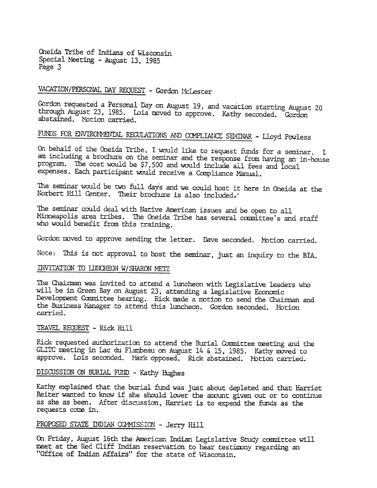Cneida Tribe of Indians of wisconsin Special Neeting - August 13, 1985 Page 3

# VACATION/PERSCNAL DAY REQUEST - Gordon McLester

Gordon requested a Personal Day on August 19, and vacation starting August 20 through August 23, 1985. Lois moved to approve. Kathy seconded. Gordon abstained. Motion carried.

# FUNDS FOR ENVIRONMENTAL REGULATIONS AND COMPLIANCE SEMINAR - Lloyd Powless

Cn behalf of the Oneida Tribe, I would like to request funds for a seminar. I am including a brochure on the seminar and the response from having an in -house program. The cost would be \$7,500 and would include all fees and local expenses. Each participant would receive a Compliance Manual.

The seminar would be two full days and we could host it here in Oneida at the Norbert Hill Center. Their brochure is also included.

The seminar could deal with Native American issues and be open to all Minneapolis area tribes. The Oneida Tribe has several committee's and staff who would benefit from this training.

Gordon moved to approve sending the letter. Dave seconded. Motion carried.

Note: This is not approval to host the seminar, just an inquiry to the BIA.

### INVITATION TO LUNCHEON W/SHARON METZ

The Chairman was invited to attend a luncheon with Legislative leaders who will be in Green Bay on August 23, attending a legislative Economic Development Coumittee hearing. Rick made a motion to send the Chairman and the Business Manager to attend this luncheon. Gordon seconded. Notion carried.

### TRAVEL REQUEST - Rick Hi

Pick requested authorization to attend the Burial Conmittee ueeting and the GLITC meeting in Lac du Flambeau on August 14 & 15, 1985. Kathy moved to approve. Lois seconded. Mark opposed. Rick abstained. Motion carried.

## DISCUSSION ON BURIAL FUND - Kathy Hughes

Kathy explained that the burial fund was just about depleted and that Harriet Reiter wanted to know if she should lower the amount given out or to continue as she as been. After discussion, Harriet is to expend the funds as the requests come in.

## PROPOSED STATE INDIAN COAMISSION - Jerry Hill

On Friday, August 16th the American Indian Legislative Study committee will meet at the Red Cliff Indian reservation to hear testimony regarding an "Office of Indian Affairs" for the state of Wisconsin.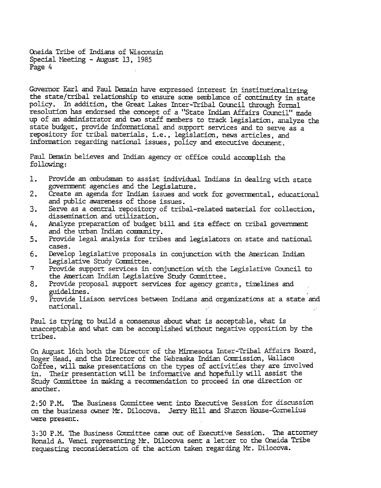Oneida Tribe of Indians of Wisconsin Special Meeting - August 13, 1985 Page 4

Governor Earl and Paul Demain have expressed interest in institutionalizing the state/tribal relationship to ensure some semblance of continuity in state policy. In addition, the Great Lakes Inter-Tribal Council through formal resolution has endorsed the concept of a "State Indian Affairs Council" made up of an administrator and two staff members to track legislation, analyze the state budget, provide informational and support services and to serve as a repository for tribal materials, i.e., legislation, news articles, and information regarding national issues, policy and executive document.

Paul Demain believes and Indian agency or office could accomplish the following:

- Provide an ombudsman to assist individual Indians in dealing with state 1. government agencies and the Legislature.
- $2.$ Create an agenda for Indian issues and work for governmental, educational and public awareness of those issues.
- $3.$ Serve as a central repository of tribal-related material for collection, dissemination and utilization.
- 4. Analyze preparation of budget bill and its effect on tribal government and the urban Indian community.
- $5.$ Provide legal analysis for tribes and legislators on state and national cases.
- $6.$ Develop legislative proposals in conjunction with the American Indian Legislative Study Committee.
- $\overline{\tau}$ Provide support services in conjunction with the Legislative Council to the American Indian Legislative Study Committee.
- 8. Provide proposal support services for agency grants, timelines and guidelines.
- 9. Provide liaison services between Indians and organizations at a state and national.

Paul is trying to build a consensus about what is acceptable, what is unacceptable and what can be accomplished without negative opposition by the tribes.

On August 16th both the Director of the Minnesota Inter-Tribal Affairs Board, Roger Head, and the Director of the Nebraska Indian Commission, Wallace Coffee, will make presentations on the types of activities they are involved in. Their presentation will be informative and hopefully will assist the Study Committee in making a recommendation to proceed in one direction or another.

2:50 P.M. The Business Committee went into Executive Session for discussion on the business owner Mr. Dilocova. Jerry Hill and Sharon House-Cornelius were present.

3:30 P.M. The Business Committee came out of Executive Session. The attorney Ronald A. Venci representing Mr. Dilocova sent a letter to the Oneida Tribe requesting reconsideration of the action taken regarding Mr. Dilocova.